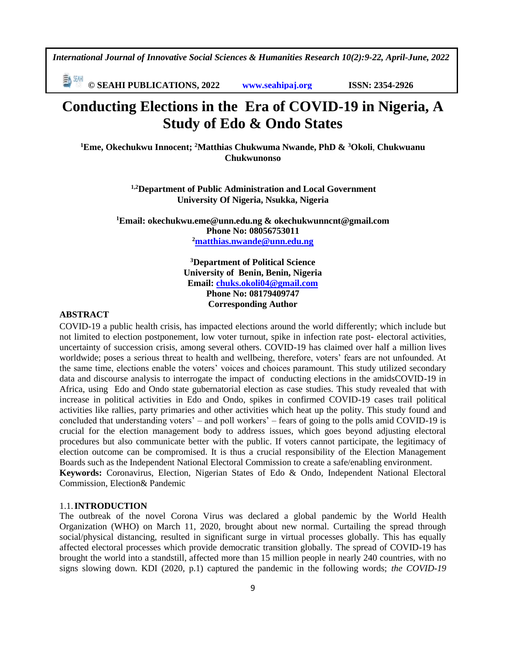**© SEAHI PUBLICATIONS, 2022 [www.seahipaj.org](http://www.seahipaj.org/) ISSN: 2354-2926** 

# **Conducting Elections in the Era of COVID-19 in Nigeria, A Study of Edo & Ondo States**

**<sup>1</sup>Eme, Okechukwu Innocent; <sup>2</sup>Matthias Chukwuma Nwande, PhD & <sup>3</sup>Okoli**, **Chukwuanu Chukwunonso**

> **1,2Department of Public Administration and Local Government University Of Nigeria, Nsukka, Nigeria**

**<sup>1</sup>Email: okechukwu.eme@unn.edu.ng & okechukwunncnt@gmail.com Phone No: 08056753011 <sup>2</sup>[matthias.nwande@unn.edu.ng](mailto:matthias.nwande@unn.edu.ng)**

> **<sup>3</sup>Department of Political Science University of Benin, Benin, Nigeria Email: [chuks.okoli04@gmail.com](mailto:chuks.okoli04@gmail.com) Phone No: 08179409747 Corresponding Author**

# **ABSTRACT**

COVID-19 a public health crisis, has impacted elections around the world differently; which include but not limited to election postponement, low voter turnout, spike in infection rate post- electoral activities, uncertainty of succession crisis, among several others. COVID-19 has claimed over half a million lives worldwide; poses a serious threat to health and wellbeing, therefore, voters' fears are not unfounded. At the same time, elections enable the voters' voices and choices paramount. This study utilized secondary data and discourse analysis to interrogate the impact of conducting elections in the amidsCOVID-19 in Africa, using Edo and Ondo state gubernatorial election as case studies. This study revealed that with increase in political activities in Edo and Ondo, spikes in confirmed COVID-19 cases trail political activities like rallies, party primaries and other activities which heat up the polity. This study found and concluded that understanding voters' – and poll workers' – fears of going to the polls amid COVID-19 is crucial for the election management body to address issues, which goes beyond adjusting electoral procedures but also communicate better with the public. If voters cannot participate, the legitimacy of election outcome can be compromised. It is thus a crucial responsibility of the Election Management Boards such as the Independent National Electoral Commission to create a safe/enabling environment. **Keywords:** Coronavirus, Election, Nigerian States of Edo & Ondo, Independent National Electoral Commission, Election& Pandemic

#### 1.1.**INTRODUCTION**

The outbreak of the novel Corona Virus was declared a global pandemic by the World Health Organization (WHO) on March 11, 2020, brought about new normal. Curtailing the spread through social/physical distancing, resulted in significant surge in virtual processes globally. This has equally affected electoral processes which provide democratic transition globally. The spread of COVID-19 has brought the world into a standstill, affected more than 15 million people in nearly 240 countries, with no signs slowing down. KDI (2020, p.1) captured the pandemic in the following words; *the COVID-19*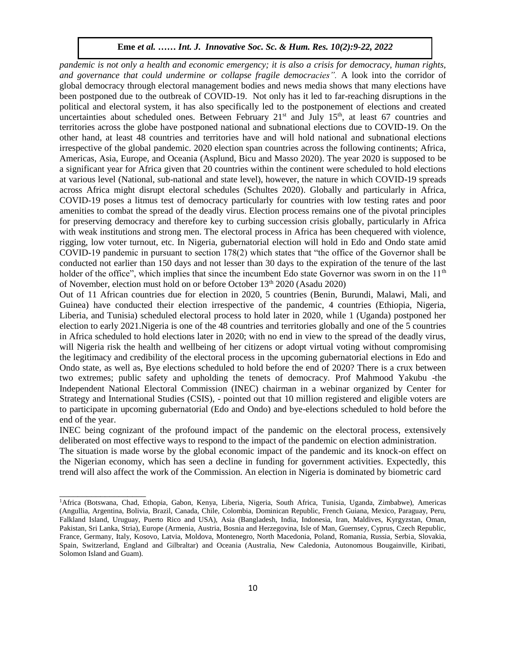*pandemic is not only a health and economic emergency; it is also a crisis for democracy, human rights, and governance that could undermine or collapse fragile democracies".* A look into the corridor of global democracy through electoral management bodies and news media shows that many elections have been postponed due to the outbreak of COVID-19. Not only has it led to far-reaching disruptions in the political and electoral system, it has also specifically led to the postponement of elections and created uncertainties about scheduled ones. Between February 21<sup>st</sup> and July 15<sup>th</sup>, at least 67 countries and territories across the globe have postponed national and subnational elections due to COVID-19. On the other hand, at least 48 countries and territories have and will hold national and subnational elections irrespective of the global pandemic. 2020 election span countries across the following continents; Africa, Americas, Asia, Europe, and Oceania (Asplund, Bicu and Masso 2020). The year 2020 is supposed to be a significant year for Africa given that 20 countries within the continent were scheduled to hold elections and  $\frac{1}{2}$ . at various level (National, sub-national and state level), however, the nature in which COVID-19 spreads across Africa might disrupt electoral schedules (Schultes 2020). Globally and particularly in Africa, COVID-19 poses a litmus test of democracy particularly for countries with low testing rates and poor amenities to combat the spread of the deadly virus. Election process remains one of the pivotal principles for preserving democracy and therefore key to curbing succession crisis globally, particularly in Africa with weak institutions and strong men. The electoral process in Africa has been chequered with violence, rigging, low voter turnout, etc. In Nigeria, gubernatorial election will hold in Edo and Ondo state amid COVID-19 pandemic in pursuant to section  $178(2)$  which states that "the office of the Governor shall be  $\sim$ conducted not earlier than 150 days and not lesser than 30 days to the expiration of the tenure of the last holder of the office", which implies that since the incumbent Edo state Governor was sworn in on the  $11<sup>th</sup>$ of November, election must hold on or before October 13th 2020 (Asadu 2020)

Out of 11 African countries due for election in 2020, 5 countries (Benin, Burundi, Malawi, Mali, and  $\overline{G}$ Guinea) have conducted their election irrespective of the pandemic, 4 countries (Ethiopia, Nigeria, Liberia, and Tunisia) scheduled electoral process to hold later in 2020, while 1 (Uganda) postponed her election to early 2021.Nigeria is one of the 48 countries and territories globally and one of the 5 countries in Africa scheduled to hold elections later in 2020; with no end in view to the spread of the deadly virus,  $\frac{1}{2}$ . will Nigeria risk the health and wellbeing of her citizens or adopt virtual voting without compromising the legitimacy and credibility of the electoral process in the upcoming gubernatorial elections in Edo and Ondo state, as well as, Bye elections scheduled to hold before the end of 2020? There is a crux between two extremes; public safety and upholding the tenets of democracy. Prof Mahmood Yakubu -the Independent National Electoral Commission (INEC) chairman in a webinar organized by Center for Strategy and International Studies (CSIS), - pointed out that 10 million registered and eligible voters are to participate in upcoming gubernatorial (Edo and Ondo) and bye-elections scheduled to hold before the end of the year.

INEC being cognizant of the profound impact of the pandemic on the electoral process, extensively deliberated on most effective ways to respond to the impact of the pandemic on election administration.

The situation is made worse by the global economic impact of the pandemic and its knock-on effect on the Nigerian economy, which has seen a decline in funding for government activities. Expectedly, this trend will also affect the work of the Commission. An election in Nigeria is dominated by biometric card

\_\_\_\_\_\_\_\_\_\_\_\_\_\_\_\_\_\_\_

<sup>1</sup>Africa (Botswana, Chad, Ethopia, Gabon, Kenya, Liberia, Nigeria, South Africa, Tunisia, Uganda, Zimbabwe), Americas (Angullia, Argentina, Bolivia, Brazil, Canada, Chile, Colombia, Dominican Republic, French Guiana, Mexico, Paraguay, Peru, Falkland Island, Uruguay, Puerto Rico and USA), Asia (Bangladesh, India, Indonesia, Iran, Maldives, Kyrgyzstan, Oman, Pakistan, Sri Lanka, Stria), Europe (Armenia, Austria, Bosnia and Herzegovina, Isle of Man, Guernsey, Cyprus, Czech Republic, France, Germany, Italy, Kosovo, Latvia, Moldova, Montenegro, North Macedonia, Poland, Romania, Russia, Serbia, Slovakia, Spain, Switzerland, England and Gilbraltar) and Oceania (Australia, New Caledonia, Autonomous Bougainville, Kiribati, Solomon Island and Guam).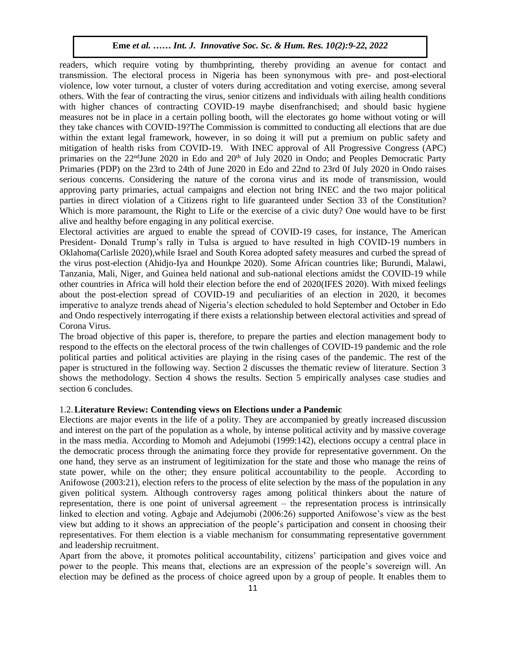readers, which require voting by thumbprinting, thereby providing an avenue for contact and transmission. The electoral process in Nigeria has been synonymous with pre- and post-electioral violence, low voter turnout, a cluster of voters during accreditation and voting exercise, among several others. With the fear of contracting the virus, senior citizens and individuals with ailing health conditions with higher chances of contracting COVID-19 maybe disenfranchised; and should basic hygiene measures not be in place in a certain polling booth, will the electorates go home without voting or will they take chances with COVID-19?The Commission is committed to conducting all elections that are due within the extant legal framework, however, in so doing it will put a premium on public safety and mitigation of health risks from COVID-19. With INEC approval of All Progressive Congress (APC) primaries on the  $22<sup>nd</sup>$ June 2020 in Edo and  $20<sup>th</sup>$  of July 2020 in Ondo; and Peoples Democratic Party Primaries (PDP) on the 23rd to 24th of June 2020 in Edo and 22nd to 23rd 0f July 2020 in Ondo raises serious concerns. Considering the nature of the corona virus and its mode of transmission, would approving party primaries, actual campaigns and election not bring INEC and the two major political parties in direct violation of a Citizens right to life guaranteed under Section 33 of the Constitution? Which is more paramount, the Right to Life or the exercise of a civic duty? One would have to be first alive and healthy before engaging in any political exercise.

Electoral activities are argued to enable the spread of COVID-19 cases, for instance, The American President- Donald Trump's rally in Tulsa is argued to have resulted in high COVID-19 numbers in Oklahoma(Carlisle 2020), while Israel and South Korea adopted safety measures and curbed the spread of the virus post-election (Ahidjo-Iya and Hounkpe 2020). Some African countries like; Burundi, Malawi, Tanzania, Mali, Niger, and Guinea held national and sub-national elections amidst the COVID-19 while other countries in Africa will hold their election before the end of 2020(IFES 2020). With mixed feelings about the post-election spread of COVID-19 and peculiarities of an election in 2020, it becomes imperative to analyze trends ahead of Nigeria's election scheduled to hold September and October in Edo and Ondo respectively interrogating if there exists a relationship between electoral activities and spread of Corona Virus.

The broad objective of this paper is, therefore, to prepare the parties and election management body to respond to the effects on the electoral process of the twin challenges of COVID-19 pandemic and the role political parties and political activities are playing in the rising cases of the pandemic. The rest of the paper is structured in the following way. Section 2 discusses the thematic review of literature. Section 3 shows the methodology. Section 4 shows the results. Section 5 empirically analyses case studies and section 6 concludes.

#### 1.2.**Literature Review: Contending views on Elections under a Pandemic**

Elections are major events in the life of a polity. They are accompanied by greatly increased discussion and interest on the part of the population as a whole, by intense political activity and by massive coverage in the mass media. According to Momoh and Adejumobi (1999:142), elections occupy a central place in the democratic process through the animating force they provide for representative government. On the one hand, they serve as an instrument of legitimization for the state and those who manage the reins of state power, while on the other; they ensure political accountability to the people. According to Anifowose (2003:21), election refers to the process of elite selection by the mass of the population in any given political system. Although controversy rages among political thinkers about the nature of representation, there is one point of universal agreement – the representation process is intrinsically linked to election and voting. Agbaje and Adejumobi (2006:26) supported Anifowose's view as the best view but adding to it shows an appreciation of the people's participation and consent in choosing their representatives. For them election is a viable mechanism for consummating representative government and leadership recruitment.

Apart from the above, it promotes political accountability, citizens' participation and gives voice and power to the people. This means that, elections are an expression of the people's sovereign will. An election may be defined as the process of choice agreed upon by a group of people. It enables them to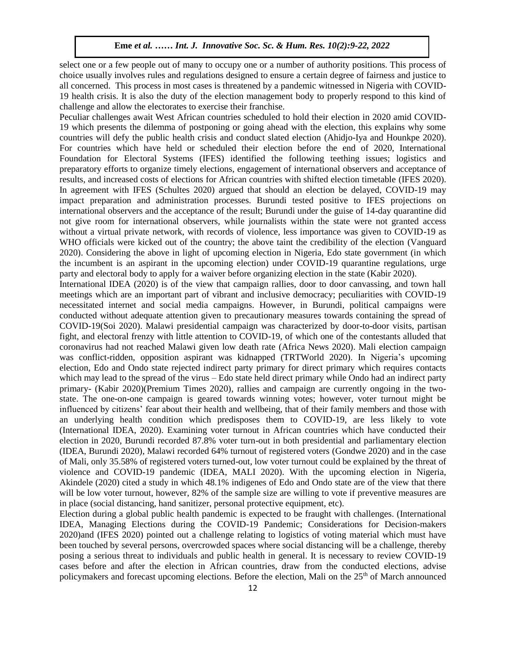select one or a few people out of many to occupy one or a number of authority positions. This process of choice usually involves rules and regulations designed to ensure a certain degree of fairness and justice to all concerned. This process in most cases is threatened by a pandemic witnessed in Nigeria with COVID-19 health crisis. It is also the duty of the election management body to properly respond to this kind of challenge and allow the electorates to exercise their franchise.

Peculiar challenges await West African countries scheduled to hold their election in 2020 amid COVID-19 which presents the dilemma of postponing or going ahead with the election, this explains why some countries will defy the public health crisis and conduct slated election (Ahidjo-Iya and Hounkpe 2020). For countries which have held or scheduled their election before the end of 2020, International Foundation for Electoral Systems (IFES) identified the following teething issues; logistics and preparatory efforts to organize timely elections, engagement of international observers and acceptance of results, and increased costs of elections for African countries with shifted election timetable (IFES 2020). In agreement with IFES (Schultes 2020) argued that should an election be delayed, COVID-19 may impact preparation and administration processes. Burundi tested positive to IFES projections on international observers and the acceptance of the result; Burundi under the guise of 14-day quarantine did not give room for international observers, while journalists within the state were not granted access without a virtual private network, with records of violence, less importance was given to COVID-19 as WHO officials were kicked out of the country; the above taint the credibility of the election (Vanguard 2020). Considering the above in light of upcoming election in Nigeria, Edo state government (in which the incumbent is an aspirant in the upcoming election) under COVID-19 quarantine regulations, urge party and electoral body to apply for a waiver before organizing election in the state (Kabir 2020).

International IDEA (2020) is of the view that campaign rallies, door to door canvassing, and town hall meetings which are an important part of vibrant and inclusive democracy; peculiarities with COVID-19 necessitated internet and social media campaigns. However, in Burundi, political campaigns were conducted without adequate attention given to precautionary measures towards containing the spread of COVID-19(Soi 2020). Malawi presidential campaign was characterized by door-to-door visits, partisan fight, and electoral frenzy with little attention to COVID-19, of which one of the contestants alluded that coronavirus had not reached Malawi given low death rate (Africa News 2020). Mali election campaign was conflict-ridden, opposition aspirant was kidnapped (TRTWorld 2020). In Nigeria's upcoming election, Edo and Ondo state rejected indirect party primary for direct primary which requires contacts which may lead to the spread of the virus – Edo state held direct primary while Ondo had an indirect party primary- (Kabir 2020)(Premium Times 2020), rallies and campaign are currently ongoing in the twostate. The one-on-one campaign is geared towards winning votes; however, voter turnout might be influenced by citizens' fear about their health and wellbeing, that of their family members and those with an underlying health condition which predisposes them to COVID-19, are less likely to vote (International IDEA, 2020). Examining voter turnout in African countries which have conducted their election in 2020, Burundi recorded 87.8% voter turn-out in both presidential and parliamentary election (IDEA, Burundi 2020), Malawi recorded 64% turnout of registered voters (Gondwe 2020) and in the case of Mali, only 35.58% of registered voters turned-out, low voter turnout could be explained by the threat of violence and COVID-19 pandemic (IDEA, MALI 2020). With the upcoming election in Nigeria, Akindele (2020) cited a study in which 48.1% indigenes of Edo and Ondo state are of the view that there will be low voter turnout, however, 82% of the sample size are willing to vote if preventive measures are in place (social distancing, hand sanitizer, personal protective equipment, etc).

Election during a global public health pandemic is expected to be fraught with challenges. (International IDEA, Managing Elections during the COVID-19 Pandemic; Considerations for Decision-makers 2020)and (IFES 2020) pointed out a challenge relating to logistics of voting material which must have been touched by several persons, overcrowded spaces where social distancing will be a challenge, thereby posing a serious threat to individuals and public health in general. It is necessary to review COVID-19 cases before and after the election in African countries, draw from the conducted elections, advise policymakers and forecast upcoming elections. Before the election, Mali on the  $25<sup>th</sup>$  of March announced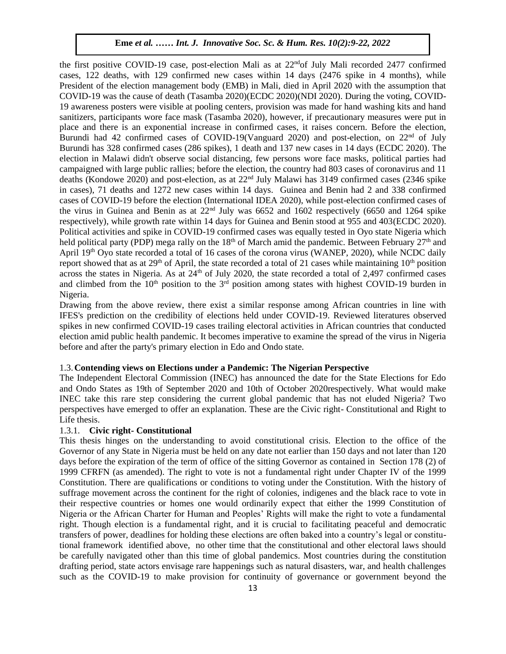the first positive COVID-19 case, post-election Mali as at 22ndof July Mali recorded 2477 confirmed cases, 122 deaths, with 129 confirmed new cases within 14 days (2476 spike in 4 months), while President of the election management body (EMB) in Mali, died in April 2020 with the assumption that COVID-19 was the cause of death (Tasamba 2020)(ECDC 2020)(NDI 2020). During the voting, COVID-19 awareness posters were visible at pooling centers, provision was made for hand washing kits and hand sanitizers, participants wore face mask (Tasamba 2020), however, if precautionary measures were put in place and there is an exponential increase in confirmed cases, it raises concern. Before the election, Burundi had 42 confirmed cases of COVID-19(Vanguard 2020) and post-election, on  $22<sup>nd</sup>$  of July Burundi has 328 confirmed cases (286 spikes), 1 death and 137 new cases in 14 days (ECDC 2020). The election in Malawi didn't observe social distancing, few persons wore face masks, political parties had campaigned with large public rallies; before the election, the country had 803 cases of coronavirus and 11 deaths (Kondowe 2020) and post-election, as at 22nd July Malawi has 3149 confirmed cases (2346 spike in cases), 71 deaths and 1272 new cases within 14 days. Guinea and Benin had 2 and 338 confirmed cases of COVID-19 before the election (International IDEA 2020), while post-election confirmed cases of the virus in Guinea and Benin as at  $22<sup>nd</sup>$  July was 6652 and 1602 respectively (6650 and 1264 spike respectively), while growth rate within 14 days for Guinea and Benin stood at 955 and 403(ECDC 2020). Political activities and spike in COVID-19 confirmed cases was equally tested in Oyo state Nigeria which held political party (PDP) mega rally on the 18<sup>th</sup> of March amid the pandemic. Between February  $27<sup>th</sup>$  and April 19<sup>th</sup> Oyo state recorded a total of 16 cases of the corona virus (WANEP, 2020), while NCDC daily report showed that as at  $29<sup>th</sup>$  of April, the state recorded a total of 21 cases while maintaining  $10<sup>th</sup>$  position across the states in Nigeria. As at 24<sup>th</sup> of July 2020, the state recorded a total of 2,497 confirmed cases and climbed from the 10<sup>th</sup> position to the 3<sup>rd</sup> position among states with highest COVID-19 burden in Nigeria.  $a.$ 

Drawing from the above review, there exist a similar response among African countries in line with IFES's prediction on the credibility of elections held under COVID-19. Reviewed literatures observed spikes in new confirmed COVID-19 cases trailing electoral activities in African countries that conducted election amid public health pandemic. It becomes imperative to examine the spread of the virus in Nigeria before and after the party's primary election in Edo and Ondo state.

# 1.3.**Contending views on Elections under a Pandemic: The Nigerian Perspective**

The Independent Electoral Commission (INEC) has announced the date for the State Elections for Edo and Ondo States as 19th of September 2020 and 10th of October 2020respectively. What would make INEC take this rare step considering the current global pandemic that has not eluded Nigeria? Two perspectives have emerged to offer an explanation. These are the Civic right- Constitutional and Right to Life thesis.

#### 1.3.1. **Civic right- Constitutional**

This thesis hinges on the understanding to avoid constitutional crisis. Election to the office of the Governor of any State in Nigeria must be held on any date not earlier than 150 days and not later than 120 days before the expiration of the term of office of the sitting Governor as contained in Section 178 (2) of 1999 CFRFN (as amended). The right to vote is not a fundamental right under Chapter IV of the 1999 Constitution. There are qualifications or conditions to voting under the Constitution. With the history of suffrage movement across the continent for the right of colonies, indigenes and the black race to vote in their respective countries or homes one would ordinarily expect that either the 1999 Constitution of Nigeria or the African Charter for Human and Peoples' Rights will make the right to vote a fundamental right. Though election is a fundamental right, and it is crucial to facilitating peaceful and democratic transfers of power, deadlines for holding these elections are often baked into a country's legal or constitutional framework identified above, no other time that the constitutional and other electoral laws should be carefully navigated other than this time of global pandemics. Most countries during the constitution drafting period, state actors envisage rare happenings such as natural disasters, war, and health challenges such as the COVID-19 to make provision for continuity of governance or government beyond the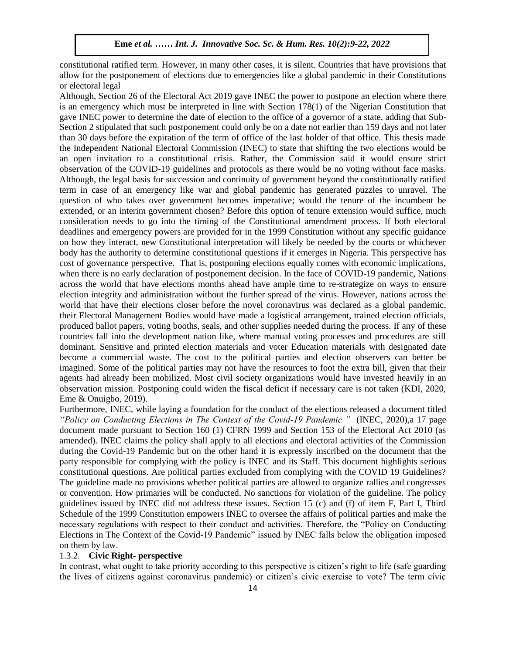constitutional ratified term. However, in many other cases, it is silent. Countries that have provisions that allow for the postponement of elections due to emergencies like a global pandemic in their Constitutions or electoral legal  $\mathcal{A}$  wosu  $\mathcal{A}$  is the Soc. Sc.  $\mathcal{A}$  is the Soc. Sc.  $\mathcal{A}$ 

Although, Section 26 of the Electoral Act 2019 gave INEC the power to postpone an election where there is an emergency which must be interpreted in line with Section 178(1) of the Nigerian Constitution that gave INEC power to determine the date of election to the office of a governor of a state, adding that Sub-Section 2 stipulated that such postponement could only be on a date not earlier than 159 days and not later than 30 days before the expiration of the term of office of the last holder of that office. This thesis made the Independent National Electoral Commission (INEC) to state that shifting the two elections would be an open invitation to a constitutional crisis. Rather, the Commission said it would ensure strict observation of the COVID-19 guidelines and protocols as there would be no voting without face masks. Although, the legal basis for succession and continuity of government beyond the constitutionally ratified term in case of an emergency like war and global pandemic has generated puzzles to unravel. The question of who takes over government becomes imperative; would the tenure of the incumbent be extended, or an interim government chosen? Before this option of tenure extension would suffice, much consideration needs to go into the timing of the Constitutional amendment process. If both electoral deadlines and emergency powers are provided for in the 1999 Constitution without any specific guidance on how they interact, new Constitutional interpretation will likely be needed by the courts or whichever body has the authority to determine constitutional questions if it emerges in Nigeria. This perspective has cost of governance perspective. That is, postponing elections equally comes with economic implications, when there is no early declaration of postponement decision. In the face of COVID-19 pandemic, Nations across the world that have elections months ahead have ample time to re-strategize on ways to ensure election integrity and administration without the further spread of the virus. However, nations across the world that have their elections closer before the novel coronavirus was declared as a global pandemic, their Electoral Management Bodies would have made a logistical arrangement, trained election officials, produced ballot papers, voting booths, seals, and other supplies needed during the process. If any of these countries fall into the development nation like, where manual voting processes and procedures are still dominant. Sensitive and printed election materials and voter Education materials with designated date become a commercial waste. The cost to the political parties and election observers can better be imagined. Some of the political parties may not have the resources to foot the extra bill, given that their agents had already been mobilized. Most civil society organizations would have invested heavily in an observation mission. Postponing could widen the fiscal deficit if necessary care is not taken (KDI, 2020, Eme & Onuigbo, 2019).

Furthermore, INEC, while laying a foundation for the conduct of the elections released a document titled *"Policy on Conducting Elections in The Context of the Covid-19 Pandemic "* (INEC, 2020),a 17 page document made pursuant to Section 160 (1) CFRN 1999 and Section 153 of the Electoral Act 2010 (as amended). INEC claims the policy shall apply to all elections and electoral activities of the Commission during the Covid-19 Pandemic but on the other hand it is expressly inscribed on the document that the party responsible for complying with the policy is INEC and its Staff. This document highlights serious constitutional questions. Are political parties excluded from complying with the COVID 19 Guidelines? The guideline made no provisions whether political parties are allowed to organize rallies and congresses or convention. How primaries will be conducted. No sanctions for violation of the guideline. The policy guidelines issued by INEC did not address these issues. Section 15 (c) and (f) of item F, Part I, Third Schedule of the 1999 Constitution empowers INEC to oversee the affairs of political parties and make the necessary regulations with respect to their conduct and activities. Therefore, the "Policy on Conducting Elections in The Context of the Covid-19 Pandemic" issued by INEC falls below the obligation imposed on them by law.

# 1.3.2. **Civic Right- perspective**

In contrast, what ought to take priority according to this perspective is citizen's right to life (safe guarding the lives of citizens against coronavirus pandemic) or citizen's civic exercise to vote? The term civic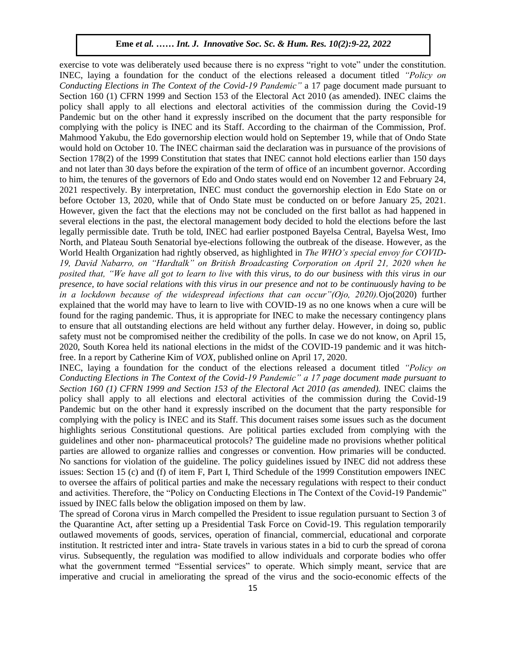exercise to vote was deliberately used because there is no express "right to vote" under the constitution. INEC, laying a foundation for the conduct of the elections released a document titled *"Policy on*  Conducting Elections in The Context of the Covid-19 Pandemic" a 17 page document made pursuant to Section 160 (1) CFRN 1999 and Section 153 of the Electoral Act 2010 (as amended). INEC claims the policy shall apply to all elections and electoral activities of the commission during the Covid-19 Pandemic but on the other hand it expressly inscribed on the document that the party responsible for complying with the policy is INEC and its Staff. According to the chairman of the Commission, Prof. Mahmood Yakubu, the Edo governorship election would hold on September 19, while that of Ondo State would hold on October 10. The INEC chairman said the declaration was in pursuance of the provisions of Section 178(2) of the 1999 Constitution that states that INEC cannot hold elections earlier than 150 days and not later than 30 days before the expiration of the term of office of an incumbent governor. According to him, the tenures of the governors of Edo and Ondo states would end on November 12 and February 24, 2021 respectively. By interpretation, INEC must conduct the governorship election in Edo State on or before October 13, 2020, while that of Ondo State must be conducted on or before January 25, 2021. However, given the fact that the elections may not be concluded on the first ballot as had happened in several elections in the past, the electoral management body decided to hold the elections before the last legally permissible date. Truth be told, INEC had earlier postponed Bayelsa Central, Bayelsa West, Imo North, and Plateau South Senatorial bye-elections following the outbreak of the disease. However, as the World Health Organization had rightly observed, as highlighted in *The WHO's special envoy for COVID*-*19, David Nabarro, on "Hardtalk" on British Broadcasting Corporation on April 21, 2020 when he posited that, "We have all got to learn to live with this virus, to do our business with this virus in our presence, to have social relations with this virus in our presence and not to be continuously having to be*  in a lockdown because of the widespread infections that can occur" (Ojo, 2020). Ojo (2020) further explained that the world may have to learn to live with COVID-19 as no one knows when a cure will be found for the raging pandemic. Thus, it is appropriate for INEC to make the necessary contingency plans to ensure that all outstanding elections are held without any further delay. However, in doing so, public safety must not be compromised neither the credibility of the polls. In case we do not know, on April 15, 2020, South Korea held its national elections in the midst of the COVID-19 pandemic and it was hitchfree. In a report by Catherine Kim of *VOX,* published online on April 17, 2020.

INEC, laying a foundation for the conduct of the elections released a document titled *"Policy on Conducting Elections in The Context of the Covid-19 Pandemic" a 17 page document made pursuant to Section 160 (1) CFRN 1999 and Section 153 of the Electoral Act 2010 (as amended).* INEC claims the policy shall apply to all elections and electoral activities of the commission during the Covid-19 Pandemic but on the other hand it expressly inscribed on the document that the party responsible for complying with the policy is INEC and its Staff. This document raises some issues such as the document highlights serious Constitutional questions. Are political parties excluded from complying with the guidelines and other non- pharmaceutical protocols? The guideline made no provisions whether political parties are allowed to organize rallies and congresses or convention. How primaries will be conducted. No sanctions for violation of the guideline. The policy guidelines issued by INEC did not address these issues: Section 15 (c) and (f) of item F, Part I, Third Schedule of the 1999 Constitution empowers INEC to oversee the affairs of political parties and make the necessary regulations with respect to their conduct and activities. Therefore, the "Policy on Conducting Elections in The Context of the Covid-19 Pandemic" issued by INEC falls below the obligation imposed on them by law.

The spread of Corona virus in March compelled the President to issue regulation pursuant to Section 3 of the Quarantine Act, after setting up a Presidential Task Force on Covid-19. This regulation temporarily outlawed movements of goods, services, operation of financial, commercial, educational and corporate institution. It restricted inter and intra- State travels in various states in a bid to curb the spread of corona virus. Subsequently, the regulation was modified to allow individuals and corporate bodies who offer what the government termed "Essential services" to operate. Which simply meant, service that are imperative and crucial in ameliorating the spread of the virus and the socio-economic effects of the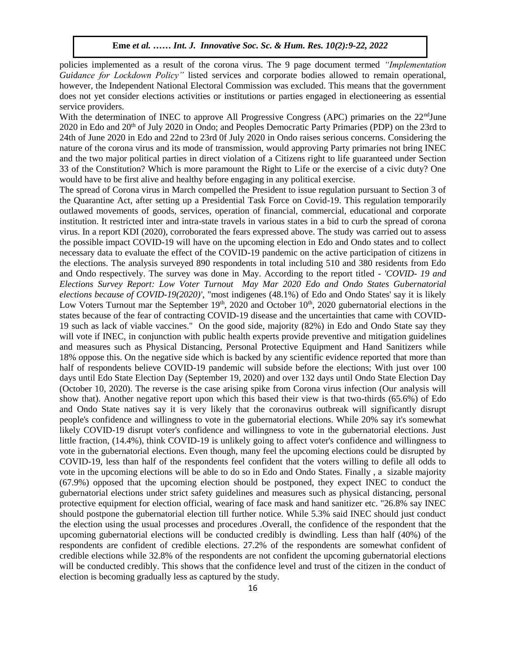policies implemented as a result of the corona virus. The 9 page document termed *"Implementation Guidance for Lockdown Policy"* listed services and corporate bodies allowed to remain operational, however, the Independent National Electoral Commission was excluded. This means that the government does not yet consider elections activities or institutions or parties engaged in electioneering as essential service providers.

With the determination of INEC to approve All Progressive Congress (APC) primaries on the 22<sup>nd</sup>June 2020 in Edo and 20<sup>th</sup> of July 2020 in Ondo; and Peoples Democratic Party Primaries (PDP) on the 23rd to 24th of June 2020 in Edo and 22nd to 23rd 0f July 2020 in Ondo raises serious concerns. Considering the nature of the corona virus and its mode of transmission, would approving Party primaries not bring INEC and the two major political parties in direct violation of a Citizens right to life guaranteed under Section 33 of the Constitution? Which is more paramount the Right to Life or the exercise of a civic duty? One would have to be first alive and healthy before engaging in any political exercise.

The spread of Corona virus in March compelled the President to issue regulation pursuant to Section 3 of the Quarantine Act, after setting up a Presidential Task Force on Covid-19. This regulation temporarily outlawed movements of goods, services, operation of financial, commercial, educational and corporate institution. It restricted inter and intra-state travels in various states in a bid to curb the spread of corona virus. In a report KDI (2020), corroborated the fears expressed above. The study was carried out to assess the possible impact COVID-19 will have on the upcoming election in Edo and Ondo states and to collect necessary data to evaluate the effect of the COVID-19 pandemic on the active participation of citizens in the elections. The analysis surveyed 890 respondents in total including 510 and 380 residents from Edo and Ondo respectively. The survey was done in May. According to the report titled - *'COVID- 19 and Elections Survey Report: Low Voter Turnout May Mar 2020 Edo and Ondo States Gubernatorial elections because of COVID-19(2020)'*, "most indigenes (48.1%) of Edo and Ondo States' say it is likely Low Voters Turnout mar the September  $19<sup>th</sup>$ , 2020 and October  $10<sup>th</sup>$ , 2020 gubernatorial elections in the states because of the fear of contracting COVID-19 disease and the uncertainties that came with COVID-19 such as lack of viable vaccines." On the good side, majority (82%) in Edo and Ondo State say they will vote if INEC, in conjunction with public health experts provide preventive and mitigation guidelines and measures such as Physical Distancing, Personal Protective Equipment and Hand Sanitizers while 18% oppose this. On the negative side which is backed by any scientific evidence reported that more than half of respondents believe COVID-19 pandemic will subside before the elections; With just over 100 days until Edo State Election Day (September 19, 2020) and over 132 days until Ondo State Election Day (October 10, 2020). The reverse is the case arising spike from Corona virus infection (Our analysis will show that). Another negative report upon which this based their view is that two-thirds (65.6%) of Edo and Ondo State natives say it is very likely that the coronavirus outbreak will significantly disrupt people's confidence and willingness to vote in the gubernatorial elections. While 20% say it's somewhat likely COVID-19 disrupt voter's confidence and willingness to vote in the gubernatorial elections. Just little fraction, (14.4%), think COVID-19 is unlikely going to affect voter's confidence and willingness to vote in the gubernatorial elections. Even though, many feel the upcoming elections could be disrupted by COVID-19, less than half of the respondents feel confident that the voters willing to defile all odds to vote in the upcoming elections will be able to do so in Edo and Ondo States. Finally , a sizable majority (67.9%) opposed that the upcoming election should be postponed, they expect INEC to conduct the gubernatorial elections under strict safety guidelines and measures such as physical distancing, personal protective equipment for election official, wearing of face mask and hand sanitizer etc. "26.8% say INEC should postpone the gubernatorial election till further notice. While 5.3% said INEC should just conduct the election using the usual processes and procedures .Overall, the confidence of the respondent that the upcoming gubernatorial elections will be conducted credibly is dwindling. Less than half (40%) of the respondents are confident of credible elections. 27.2% of the respondents are somewhat confident of credible elections while 32.8% of the respondents are not confident the upcoming gubernatorial elections will be conducted credibly. This shows that the confidence level and trust of the citizen in the conduct of election is becoming gradually less as captured by the study.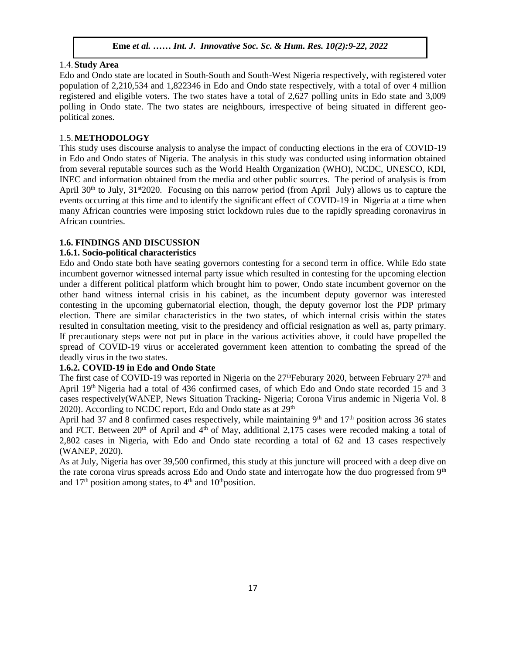# 1.4.**Study Area**

Edo and Ondo state are located in South-South and South-West Nigeria respectively, with registered voter population of 2,210,534 and 1,822346 in Edo and Ondo state respectively, with a total of over 4 million registered and eligible voters. The two states have a total of 2,627 polling units in Edo state and 3,009 polling in Ondo state. The two states are neighbours, irrespective of being situated in different geopolitical zones.

# 1.5.**METHODOLOGY**

This study uses discourse analysis to analyse the impact of conducting elections in the era of COVID-19 in Edo and Ondo states of Nigeria. The analysis in this study was conducted using information obtained from several reputable sources such as the World Health Organization (WHO), NCDC, UNESCO, KDI, INEC and information obtained from the media and other public sources. The period of analysis is from April  $30<sup>th</sup>$  to July,  $31<sup>st</sup>2020$ . Focusing on this narrow period (from April July) allows us to capture the events occurring at this time and to identify the significant effect of COVID-19 in Nigeria at a time when many African countries were imposing strict lockdown rules due to the rapidly spreading coronavirus in African countries.

#### **1.6. FINDINGS AND DISCUSSION**

#### **1.6.1. Socio-political characteristics**   $\text{A}$

Edo and Ondo state both have seating governors contesting for a second term in office. While Edo state incumbent governor witnessed internal party issue which resulted in contesting for the upcoming election under a different political platform which brought him to power, Ondo state incumbent governor on the other hand witness internal crisis in his cabinet, as the incumbent deputy governor was interested contesting in the upcoming gubernatorial election, though, the deputy governor lost the PDP primary election. There are similar characteristics in the two states, of which internal crisis within the states resulted in consultation meeting, visit to the presidency and official resignation as well as, party primary. If precautionary steps were not put in place in the various activities above, it could have propelled the Arugu & Wosu …… Int. J. Innovative Soc. Sc. & Hum. Res. 8(1):1-11, 2020spread of COVID-19 virus or accelerated government keen attention to combating the spread of the deadly virus in the two states.

# **1.6.2. COVID-19 in Edo and Ondo State**

The first case of COVID-19 was reported in Nigeria on the  $27<sup>th</sup>$ Feburary 2020, between February  $27<sup>th</sup>$  and April 19<sup>th</sup> Nigeria had a total of 436 confirmed cases, of which Edo and Ondo state recorded 15 and 3 cases respectively(WANEP, News Situation Tracking- Nigeria; Corona Virus andemic in Nigeria Vol. 8 2020). According to NCDC report, Edo and Ondo state as at  $29<sup>th</sup>$ 

April had 37 and 8 confirmed cases respectively, while maintaining  $9<sup>th</sup>$  and  $17<sup>th</sup>$  position across 36 states and FCT. Between  $20<sup>th</sup>$  of April and  $4<sup>th</sup>$  of May, additional 2,175 cases were recoded making a total of 2,802 cases in Nigeria, with Edo and Ondo state recording a total of 62 and 13 cases respectively (WANEP, 2020).

As at July, Nigeria has over 39,500 confirmed, this study at this juncture will proceed with a deep dive on the rate corona virus spreads across Edo and Ondo state and interrogate how the duo progressed from 9<sup>th</sup> and  $17<sup>th</sup>$  position among states, to  $4<sup>th</sup>$  and  $10<sup>th</sup>$  position.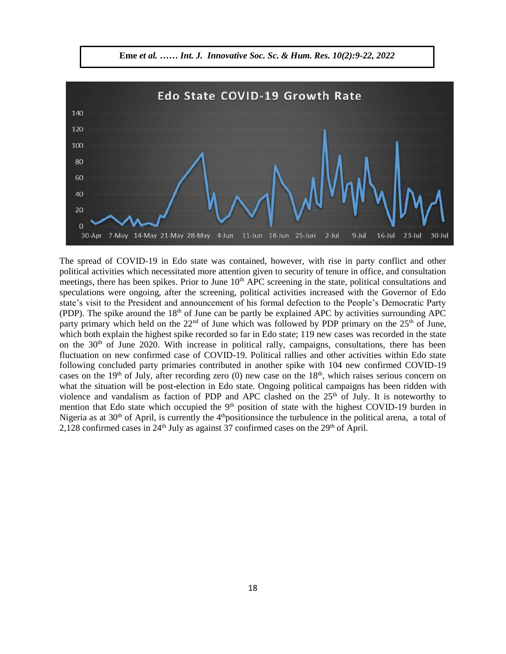

The spread of COVID-19 in Edo state was contained, however, with rise in party conflict and other political activities which necessitated more attention given to security of tenure in office, and consultation political activities which necessitated more attention given to security of tenure in office, and consultation meetings, there has been spikes. Prior to June 10<sup>th</sup> APC screening in the state, political consultations and speculations were ongoing, after the screening, political activities increased with the Governor of Edo state's visit to the President and announcement of his formal defection to the People's Democratic Party Exact s visit to the 1 resident and announcement of instrument detection to the 1 copie's Democratic 1 arty (PDP). The spike around the  $18<sup>th</sup>$  of June can be partly be explained APC by activities surrounding APC party primary which held on the  $22<sup>nd</sup>$  of June which was followed by PDP primary on the  $25<sup>th</sup>$  of June, which both explain the highest spike recorded so far in Edo state; 119 new cases was recorded in the state on the  $30<sup>th</sup>$  of June 2020. With increase in political rally, campaigns, consultations, there has been In the 30 of 3 June 2020. While increase in political rally, campaigns, consultations, there has been<br>fluctuation on new confirmed case of COVID-19. Political rallies and other activities within Edo state following concluded party primaries contributed in another spike with 104 new confirmed COVID-19 cases on the  $19<sup>th</sup>$  of July, after recording zero (0) new case on the  $18<sup>th</sup>$ , which raises serious concern on what the situation will be post-election in Edo state. Ongoing political campaigns has been ridden with violence and vandalism as faction of PDP and APC clashed on the  $25<sup>th</sup>$  of July. It is noteworthy to mention that Edo state which occupied the  $9<sup>th</sup>$  position of state with the highest COVID-19 burden in Nigeria as at  $30<sup>th</sup>$  of April, is currently the 4<sup>th</sup>positionsince the turbulence in the political arena, a total of 2,128 confirmed cases in  $24<sup>th</sup>$  July as against 37 confirmed cases on the  $29<sup>th</sup>$  of April.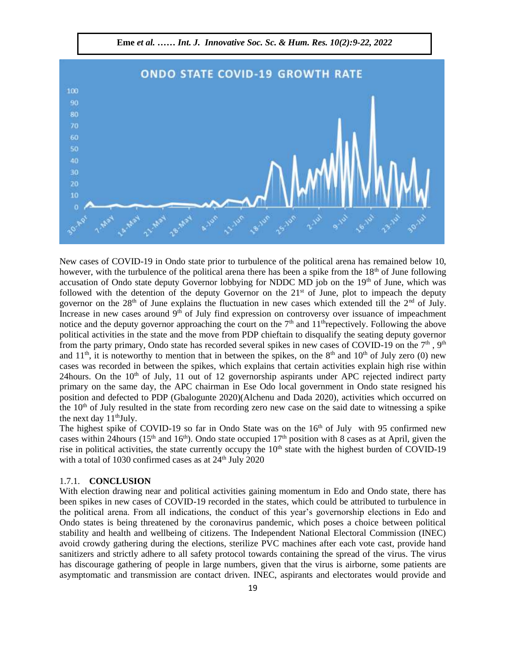

New cases of COVID-19 in Ondo state prior to turbulence of the political arena has remained below 10, however, with the turbulence of the political arena there has been a spike from the  $18<sup>th</sup>$  of June following accusation of Ondo state deputy Governor lobbying for NDDC MD job on the 19<sup>th</sup> of June, which was followed with the detention of the deputy Governor on the 21<sup>st</sup> of June, plot to impeach the deputy governor on the 28<sup>th</sup> of June explains the fluctuation in new cases which extended till the 2<sup>nd</sup> of July. Increase in new cases around  $9<sup>th</sup>$  of July find expression on controversy over issuance of impeachment notice and the deputy governor approaching the court on the  $7<sup>th</sup>$  and  $11<sup>th</sup>$ repectively. Following the above political activities in the state and the move from PDP chieftain to disqualify the seating deputy governor from the party primary, Ondo state has recorded several spikes in new cases of COVID-19 on the  $7<sup>th</sup>$ ,  $9<sup>th</sup>$ and  $11<sup>th</sup>$ , it is noteworthy to mention that in between the spikes, on the 8<sup>th</sup> and  $10<sup>th</sup>$  of July zero (0) new cases was recorded in between the spikes, which explains that certain activities explain high rise within 24 hours. On the  $10<sup>th</sup>$  of July, 11 out of 12 governorship aspirants under APC rejected indirect party primary on the same day, the APC chairman in Ese Odo local government in Ondo state resigned his position and defected to PDP (Gbalogunte 2020)(Alchenu and Dada 2020), activities which occurred on the  $10<sup>th</sup>$  of July resulted in the state from recording zero new case on the said date to witnessing a spike the next day  $11<sup>th</sup>July.$ 

The highest spike of COVID-19 so far in Ondo State was on the  $16<sup>th</sup>$  of July with 95 confirmed new cases within 24 hours (15<sup>th</sup> and 16<sup>th</sup>). Ondo state occupied 17<sup>th</sup> position with 8 cases as at April, given the rise in political activities, the state currently occupy the  $10<sup>th</sup>$  state with the highest burden of COVID-19 with a total of 1030 confirmed cases as at  $24<sup>th</sup>$  July 2020

# 1.7.1. **CONCLUSION**

With election drawing near and political activities gaining momentum in Edo and Ondo state, there has been spikes in new cases of COVID-19 recorded in the states, which could be attributed to turbulence in the political arena. From all indications, the conduct of this year's governorship elections in Edo and Ondo states is being threatened by the coronavirus pandemic, which poses a choice between political stability and health and wellbeing of citizens. The Independent National Electoral Commission (INEC) avoid crowdy gathering during the elections, sterilize PVC machines after each vote cast, provide hand sanitizers and strictly adhere to all safety protocol towards containing the spread of the virus. The virus has discourage gathering of people in large numbers, given that the virus is airborne, some patients are asymptomatic and transmission are contact driven. INEC, aspirants and electorates would provide and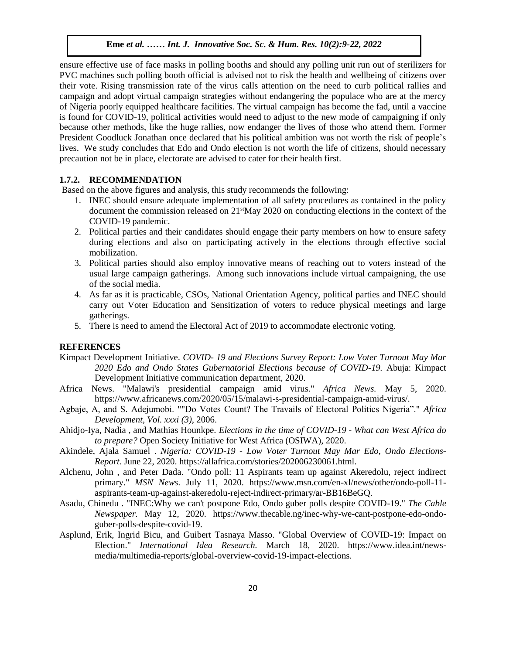ensure effective use of face masks in polling booths and should any polling unit run out of sterilizers for PVC machines such polling booth official is advised not to risk the health and wellbeing of citizens over their vote. Rising transmission rate of the virus calls attention on the need to curb political rallies and campaign and adopt virtual campaign strategies without endangering the populace who are at the mercy of Nigeria poorly equipped healthcare facilities. The virtual campaign has become the fad, until a vaccine is found for COVID-19, political activities would need to adjust to the new mode of campaigning if only because other methods, like the huge rallies, now endanger the lives of those who attend them. Former President Goodluck Jonathan once declared that his political ambition was not worth the risk of people's lives. We study concludes that Edo and Ondo election is not worth the life of citizens, should necessary precaution not be in place, electorate are advised to cater for their health first.

#### **1.7.2. RECOMMENDATION**

Based on the above figures and analysis, this study recommends the following:

- 1. INEC should ensure adequate implementation of all safety procedures as contained in the policy document the commission released on  $21<sup>st</sup>$ May 2020 on conducting elections in the context of the COVID-19 pandemic.
- 2. Political parties and their candidates should engage their party members on how to ensure safety during elections and also on participating actively in the elections through effective social mobilization.
- 3. Political parties should also employ innovative means of reaching out to voters instead of the usual large campaign gatherings. Among such innovations include virtual campaigning, the use of the social media.
- 4. As far as it is practicable, CSOs, National Orientation Agency, political parties and INEC should carry out Voter Education and Sensitization of voters to reduce physical meetings and large gatherings.
- 5. There is need to amend the Electoral Act of 2019 to accommodate electronic voting.

# **REFERENCES**

- Kimpact Development Initiative. *COVID- 19 and Elections Survey Report: Low Voter Turnout May Mar 2020 Edo and Ondo States Gubernatorial Elections because of COVID-19.* Abuja: Kimpact Development Initiative communication department, 2020.
- Africa News. "Malawi's presidential campaign amid virus." *Africa News.* May 5, 2020. https://www.africanews.com/2020/05/15/malawi-s-presidential-campaign-amid-virus/.
- Agbaje, A, and S. Adejumobi. ""Do Votes Count? The Travails of Electoral Politics Nigeria"." *Africa Development, Vol. xxxi (3)*, 2006.
- Ahidjo-Iya, Nadia , and Mathias Hounkpe. *Elections in the time of COVID-19 - What can West Africa do to prepare?* Open Society Initiative for West Africa (OSIWA), 2020.
- Akindele, Ajala Samuel . *Nigeria: COVID-19 - Low Voter Turnout May Mar Edo, Ondo Elections-Report.* June 22, 2020. https://allafrica.com/stories/202006230061.html.
- Alchenu, John , and Peter Dada. "Ondo poll: 11 Aspirants team up against Akeredolu, reject indirect primary." *MSN News.* July 11, 2020. https://www.msn.com/en-xl/news/other/ondo-poll-11 aspirants-team-up-against-akeredolu-reject-indirect-primary/ar-BB16BeGQ.
- Asadu, Chinedu . "INEC:Why we can't postpone Edo, Ondo guber polls despite COVID-19." *The Cable Newspaper.* May 12, 2020. https://www.thecable.ng/inec-why-we-cant-postpone-edo-ondoguber-polls-despite-covid-19.
- Asplund, Erik, Ingrid Bicu, and Guibert Tasnaya Masso. "Global Overview of COVID-19: Impact on Election." *International Idea Research.* March 18, 2020. https://www.idea.int/newsmedia/multimedia-reports/global-overview-covid-19-impact-elections.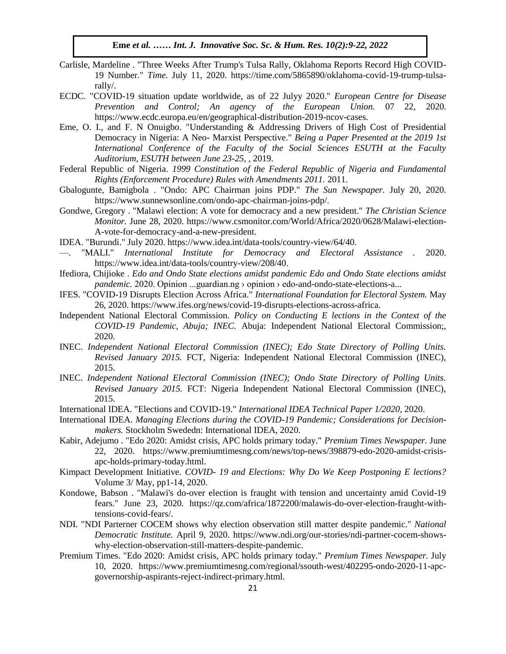- Carlisle, Mardeline . "Three Weeks After Trump's Tulsa Rally, Oklahoma Reports Record High COVID-19 Number." *Time.* July 11, 2020. https://time.com/5865890/oklahoma-covid-19-trump-tulsarally/.  $rally/$ .
- ECDC. "COVID-19 situation update worldwide, as of 22 Julyy 2020." *European Centre for Disease Prevention and Control; An agency of the European Union.* 07 22, 2020. https://www.ecdc.europa.eu/en/geographical-distribution-2019-ncov-cases.
- Eme, O. I., and F. N Onuigbo. "Understanding & Addressing Drivers of High Cost of Presidential Democracy in Nigeria: A Neo- Marxist Perspective." *Being a Paper Presented at the 2019 1st International Conference of the Faculty of the Social Sciences ESUTH at the Faculty Auditorium, ESUTH between June 23-25,* , 2019.
- Federal Republic of Nigeria. 1999 Constitution of the Federal Republic of Nigeria and Fundamental *Rights (Enforcement Procedure) Rules with Amendments 2011.* 2011.
- Gbalogunte, Bamigbola . "Ondo: APC Chairman joins PDP." *The Sun Newspaper.* July 20, 2020. https://www.sunnewsonline.com/ondo-apc-chairman-joins-pdp/.
- Gondwe, Gregory . "Malawi election: A vote for democracy and a new president." The Christian Science *Monitor.* June 28, 2020. https://www.csmonitor.com/World/Africa/2020/0628/Malawi-election-A-vote-for-democracy-and-a-new-president.
- IDEA. "Burundi." July 2020. https://www.idea.int/data-tools/country-view/64/40.
- . "MALI." *International Institute for Democracy and Electoral Assistance* . 2020. https://www.idea.int/data-tools/country-view/208/40.
- Ifediora, Chijioke . *Edo and Ondo State elections amidst pandemic Edo and Ondo State elections amidst pandemic.* 2020. Opinion ...guardian.ng > opinion > edo-and-ondo-state-elections-a...
- IFES. "COVID-19 Disrupts Election Across Africa." International Foundation for Electoral System. May 26, 2020. https://www.ifes.org/news/covid-19-disrupts-elections-across-africa.
- Independent National Electoral Commission. *Policy on Conducting E lections in the Context of the COVID-19 Pandemic, Abuja; INEC.* Abuja: Independent National Electoral Commission;, 2020.  $2020.$
- INEC. *Independent National Electoral Commission (INEC); Edo State Directory of Polling Units. Revised January 2015.* FCT, Nigeria: Independent National Electoral Commission (INEC), 2015.
- INEC. *Independent National Electoral Commission (INEC); Ondo State Directory of Polling Units. Revised January 2015.* FCT: Nigeria Independent National Electoral Commission (INEC), 2015.
- International IDEA. "Elections and COVID-19." *International IDEA Technical Paper 1/2020*, 2020.
- International IDEA. *Managing Elections during the COVID-19 Pandemic; Considerations for Decisionmakers.* Stockholm Swededn: International IDEA, 2020.
- Kabir, Adejumo . "Edo 2020: Amidst crisis, APC holds primary today." *Premium Times Newspaper.* June 22, 2020. https://www.premiumtimesng.com/news/top-news/398879-edo-2020-amidst-crisisapc-holds-primary-today.html.
- Kimpact Development Initiative. *COVID- 19 and Elections: Why Do We Keep Postponing E lections?* Volume 3/ May, pp1-14, 2020.
- Kondowe, Babson . "Malawi's do-over election is fraught with tension and uncertainty amid Covid-19 fears." June 23, 2020. https://qz.com/africa/1872200/malawis-do-over-election-fraught-withtensions-covid-fears/.
- NDI. "NDI Parterner COCEM shows why election observation still matter despite pandemic." *National Democratic Institute.* April 9, 2020. https://www.ndi.org/our-stories/ndi-partner-cocem-showswhy-election-observation-still-matters-despite-pandemic.
- Premium Times. "Edo 2020: Amidst crisis, APC holds primary today." *Premium Times Newspaper.* July 10, 2020. https://www.premiumtimesng.com/regional/ssouth-west/402295-ondo-2020-11-apcgovernorship-aspirants-reject-indirect-primary.html.